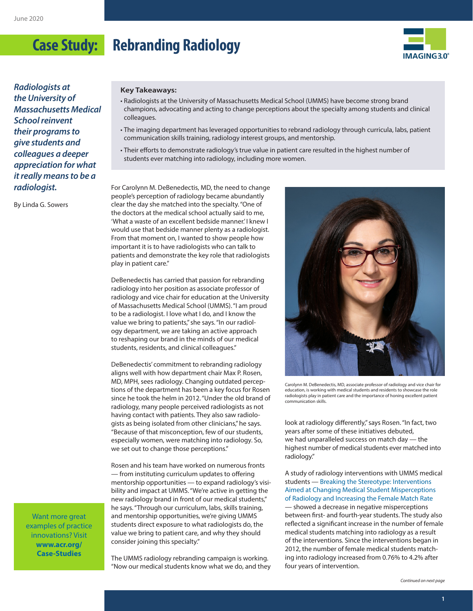

*Radiologists at the University of Massachusetts Medical School reinvent their programs to give students and colleagues a deeper appreciation for what it really means to be a radiologist.*

By Linda G. Sowers

#### **Key Takeaways:**

- Radiologists at the University of Massachusetts Medical School (UMMS) have become strong brand champions, advocating and acting to change perceptions about the specialty among students and clinical colleagues.
- The imaging department has leveraged opportunities to rebrand radiology through curricula, labs, patient communication skills training, radiology interest groups, and mentorship.
- Their efforts to demonstrate radiology's true value in patient care resulted in the highest number of students ever matching into radiology, including more women.

For Carolynn M. DeBenedectis, MD, the need to change people's perception of radiology became abundantly clear the day she matched into the specialty. "One of the doctors at the medical school actually said to me, 'What a waste of an excellent bedside manner.' I knew I would use that bedside manner plenty as a radiologist. From that moment on, I wanted to show people how important it is to have radiologists who can talk to patients and demonstrate the key role that radiologists play in patient care."

DeBenedectis has carried that passion for rebranding radiology into her position as associate professor of radiology and vice chair for education at the University of Massachusetts Medical School (UMMS). "I am proud to be a radiologist. I love what I do, and I know the value we bring to patients," she says. "In our radiology department, we are taking an active approach to reshaping our brand in the minds of our medical students, residents, and clinical colleagues."

DeBenedectis' commitment to rebranding radiology aligns well with how department chair Max P. Rosen, MD, MPH, sees radiology. Changing outdated perceptions of the department has been a key focus for Rosen since he took the helm in 2012. "Under the old brand of radiology, many people perceived radiologists as not having contact with patients. They also saw radiologists as being isolated from other clinicians," he says. "Because of that misconception, few of our students, especially women, were matching into radiology. So, we set out to change those perceptions."

Rosen and his team have worked on numerous fronts — from instituting curriculum updates to offering mentorship opportunities — to expand radiology's visibility and impact at UMMS. "We're active in getting the new radiology brand in front of our medical students," he says. "Through our curriculum, labs, skills training, and mentorship opportunities, we're giving UMMS students direct exposure to what radiologists do, the value we bring to patient care, and why they should consider joining this specialty."

The UMMS radiology rebranding campaign is working. "Now our medical students know what we do, and they



Carolynn M. DeBenedectis, MD, associate professor of radiology and vice chair for education, is working with medical students and residents to showcase the role radiologists play in patient care and the importance of honing excellent patient communication skills.

look at radiology differently," says Rosen. "In fact, two years after some of these initiatives debuted, we had unparalleled success on match day — the highest number of medical students ever matched into radiology."

A study of radiology interventions with UMMS medical students — [Breaking the Stereotype: Interventions](https://www.ncbi.nlm.nih.gov/pubmed/32057616)  [Aimed at Changing Medical Student Misperceptions](https://www.ncbi.nlm.nih.gov/pubmed/32057616)  [of Radiology and Increasing the Female Match Rate](https://www.ncbi.nlm.nih.gov/pubmed/32057616) — showed a decrease in negative misperceptions between first- and fourth-year students. The study also reflected a significant increase in the number of female medical students matching into radiology as a result of the interventions. Since the interventions began in 2012, the number of female medical students matching into radiology increased from 0.76% to 4.2% after four years of intervention.

Want more great examples of practice innovations? Visit **[www.acr.org/](http://www.acr.org/Case-Studies) [Case-Studies](http://www.acr.org/Case-Studies)**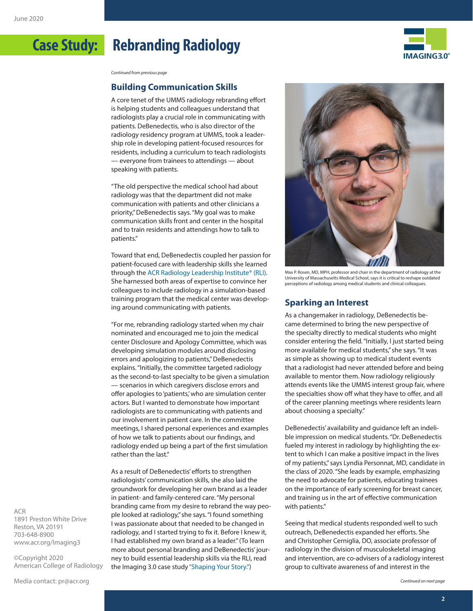

*Continued from previous page*

#### **Building Communication Skills**

A core tenet of the UMMS radiology rebranding effort is helping students and colleagues understand that radiologists play a crucial role in communicating with patients. DeBenedectis, who is also director of the radiology residency program at UMMS, took a leadership role in developing patient-focused resources for residents, including a curriculum to teach radiologists — everyone from trainees to attendings — about speaking with patients.

"The old perspective the medical school had about radiology was that the department did not make communication with patients and other clinicians a priority," DeBenedectis says. "My goal was to make communication skills front and center in the hospital and to train residents and attendings how to talk to patients."

Toward that end, DeBenedectis coupled her passion for patient-focused care with leadership skills she learned through the [ACR Radiology Leadership Institute® \(RLI\).](https://www.acr.org/Practice-Management-Quality-Informatics/Radiology-Leadership-Institute) She harnessed both areas of expertise to convince her colleagues to include radiology in a simulation-based training program that the medical center was developing around communicating with patients.

"For me, rebranding radiology started when my chair nominated and encouraged me to join the medical center Disclosure and Apology Committee, which was developing simulation modules around disclosing errors and apologizing to patients," DeBenedectis explains. "Initially, the committee targeted radiology as the second-to-last specialty to be given a simulation — scenarios in which caregivers disclose errors and offer apologies to 'patients,' who are simulation center actors. But I wanted to demonstrate how important radiologists are to communicating with patients and our involvement in patient care. In the committee meetings, I shared personal experiences and examples of how we talk to patients about our findings, and radiology ended up being a part of the first simulation rather than the last."

As a result of DeBenedectis' efforts to strengthen radiologists' communication skills, she also laid the groundwork for developing her own brand as a leader in patient- and family-centered care. "My personal branding came from my desire to rebrand the way people looked at radiology," she says. "I found something I was passionate about that needed to be changed in radiology, and I started trying to fix it. Before I knew it, I had established my own brand as a leader." (To learn more about personal branding and DeBenedectis' journey to build essential leadership skills via the RLI, read the Imaging 3.0 case study ["Shaping Your Story."\)](https://www.acr.org/Practice-Management-Quality-Informatics/Imaging-3/Case-Studies/Strategic-Planning/Shaping-Your-Story)



Max P. Rosen, MD, MPH, professor and chair in the department of radiology at the University of Massachusetts Medical School, says it is critical to reshape outdated perceptions of radiology among medical students and clinical colleagues.

### **Sparking an Interest**

As a changemaker in radiology, DeBenedectis became determined to bring the new perspective of the specialty directly to medical students who might consider entering the field. "Initially, I just started being more available for medical students," she says. "It was as simple as showing up to medical student events that a radiologist had never attended before and being available to mentor them. Now radiology religiously attends events like the UMMS interest group fair, where the specialties show off what they have to offer, and all of the career planning meetings where residents learn about choosing a specialty."

DeBenedectis' availability and guidance left an indelible impression on medical students. "Dr. DeBenedectis fueled my interest in radiology by highlighting the extent to which I can make a positive impact in the lives of my patients," says Lyndia Personnat, MD, candidate in the class of 2020. "She leads by example, emphasizing the need to advocate for patients, educating trainees on the importance of early screening for breast cancer, and training us in the art of effective communication with patients."

Seeing that medical students responded well to such outreach, DeBenedectis expanded her efforts. She and Christopher Cerniglia, DO, associate professor of radiology in the division of musculoskeletal imaging and intervention, are co-advisers of a radiology interest group to cultivate awareness of and interest in the

ACR 1891 Preston White Drive Reston, VA 20191 703-648-8900 [www.acr.org/Imaging3](http://www.acr.org/Imaging3)

©Copyright 2020 American College of Radiology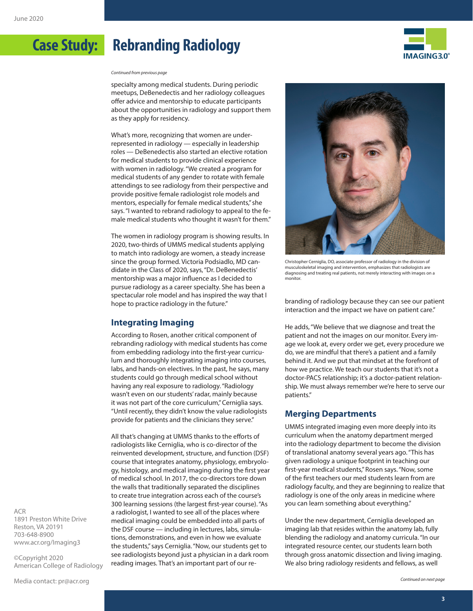

*Continued from previous page*

specialty among medical students. During periodic meetups, DeBenedectis and her radiology colleagues offer advice and mentorship to educate participants about the opportunities in radiology and support them as they apply for residency.

What's more, recognizing that women are underrepresented in radiology — especially in leadership roles — DeBenedectis also started an elective rotation for medical students to provide clinical experience with women in radiology. "We created a program for medical students of any gender to rotate with female attendings to see radiology from their perspective and provide positive female radiologist role models and mentors, especially for female medical students," she says. "I wanted to rebrand radiology to appeal to the female medical students who thought it wasn't for them."

The women in radiology program is showing results. In 2020, two-thirds of UMMS medical students applying to match into radiology are women, a steady increase since the group formed. Victoria Podsiadlo, MD candidate in the Class of 2020, says, "Dr. DeBenedectis' mentorship was a major influence as I decided to pursue radiology as a career specialty. She has been a spectacular role model and has inspired the way that I hope to practice radiology in the future."

#### **Integrating Imaging**

According to Rosen, another critical component of rebranding radiology with medical students has come from embedding radiology into the first-year curriculum and thoroughly integrating imaging into courses, labs, and hands-on electives. In the past, he says, many students could go through medical school without having any real exposure to radiology. "Radiology wasn't even on our students' radar, mainly because it was not part of the core curriculum," Cerniglia says. "Until recently, they didn't know the value radiologists provide for patients and the clinicians they serve."

All that's changing at UMMS thanks to the efforts of radiologists like Cerniglia, who is co-director of the reinvented development, structure, and function (DSF) course that integrates anatomy, physiology, embryology, histology, and medical imaging during the first year of medical school. In 2017, the co-directors tore down the walls that traditionally separated the disciplines to create true integration across each of the course's 300 learning sessions (the largest first-year course). "As a radiologist, I wanted to see all of the places where medical imaging could be embedded into all parts of the DSF course — including in lectures, labs, simulations, demonstrations, and even in how we evaluate the students," says Cerniglia. "Now, our students get to see radiologists beyond just a physician in a dark room reading images. That's an important part of our re-



Christopher Cerniglia, DO, associate professor of radiology in the division of musculoskeletal imaging and intervention, emphasizes that radiologists are diagnosing and treating real patients, not merely interacting with images on a monitor.

branding of radiology because they can see our patient interaction and the impact we have on patient care."

He adds, "We believe that we diagnose and treat the patient and not the images on our monitor. Every image we look at, every order we get, every procedure we do, we are mindful that there's a patient and a family behind it. And we put that mindset at the forefront of how we practice. We teach our students that it's not a doctor-PACS relationship; it's a doctor-patient relationship. We must always remember we're here to serve our patients."

### **Merging Departments**

UMMS integrated imaging even more deeply into its curriculum when the anatomy department merged into the radiology department to become the division of translational anatomy several years ago. "This has given radiology a unique footprint in teaching our first-year medical students," Rosen says. "Now, some of the first teachers our med students learn from are radiology faculty, and they are beginning to realize that radiology is one of the only areas in medicine where you can learn something about everything."

Under the new department, Cerniglia developed an imaging lab that resides within the anatomy lab, fully blending the radiology and anatomy curricula. "In our integrated resource center, our students learn both through gross anatomic dissection and living imaging. We also bring radiology residents and fellows, as well

ACR 1891 Preston White Drive Reston, VA 20191 703-648-8900 [www.acr.org/Imaging3](http://www.acr.org/Imaging3)

©Copyright 2020 American College of Radiology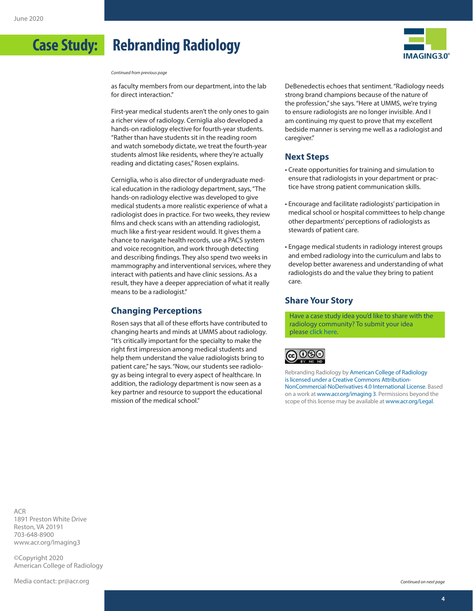

*Continued from previous page*

as faculty members from our department, into the lab for direct interaction."

First-year medical students aren't the only ones to gain a richer view of radiology. Cerniglia also developed a hands-on radiology elective for fourth-year students. "Rather than have students sit in the reading room and watch somebody dictate, we treat the fourth-year students almost like residents, where they're actually reading and dictating cases," Rosen explains.

Cerniglia, who is also director of undergraduate medical education in the radiology department, says, "The hands-on radiology elective was developed to give medical students a more realistic experience of what a radiologist does in practice. For two weeks, they review films and check scans with an attending radiologist, much like a first-year resident would. It gives them a chance to navigate health records, use a PACS system and voice recognition, and work through detecting and describing findings. They also spend two weeks in mammography and interventional services, where they interact with patients and have clinic sessions. As a result, they have a deeper appreciation of what it really means to be a radiologist."

### **Changing Perceptions**

Rosen says that all of these efforts have contributed to changing hearts and minds at UMMS about radiology. "It's critically important for the specialty to make the right first impression among medical students and help them understand the value radiologists bring to patient care," he says. "Now, our students see radiology as being integral to every aspect of healthcare. In addition, the radiology department is now seen as a key partner and resource to support the educational mission of the medical school."

DeBenedectis echoes that sentiment. "Radiology needs strong brand champions because of the nature of the profession," she says. "Here at UMMS, we're trying to ensure radiologists are no longer invisible. And I am continuing my quest to prove that my excellent bedside manner is serving me well as a radiologist and caregiver."

#### **Next Steps**

- Create opportunities for training and simulation to ensure that radiologists in your department or practice have strong patient communication skills.
- Encourage and facilitate radiologists' participation in medical school or hospital committees to help change other departments' perceptions of radiologists as stewards of patient care.
- Engage medical students in radiology interest groups and embed radiology into the curriculum and labs to develop better awareness and understanding of what radiologists do and the value they bring to patient care.

### **Share Your Story**

Have a case study idea you'd like to share with the radiology community? To submit your idea please [click here](https://www.acr.org/Practice-Management-Quality-Informatics/Imaging-3/Case-Studies/Suggest-a-Case-Study).



Rebranding Radiology by [American College of Radiology](http://creativecommons.org/ns#") is licensed under a [Creative Commons Attribution-](http://creativecommons.org/licenses/by-nc-nd/4.0/)[NonCommercial-NoDerivatives 4.0 International License.](http://creativecommons.org/licenses/by-nc-nd/4.0/) Based on a work at [www.acr.org/imaging 3.](http://www.acr.org/Advocacy/Economics-Health-Policy/Imaging-3) Permissions beyond the scope of this license may be available at [www.acr.org/Legal.](www.acr.org/Legal)

ACR 1891 Preston White Drive Reston, VA 20191 703-648-8900 [www.acr.org/Imaging3](http://www.acr.org/Imaging3)

©Copyright 2020 American College of Radiology